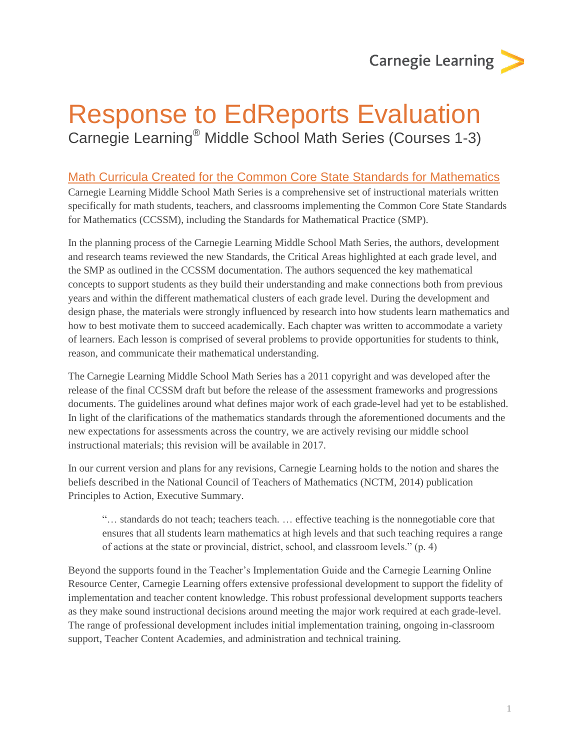**Carnegie Learning** 

# Response to EdReports Evaluation Carnegie Learning® Middle School Math Series (Courses 1-3)

#### Math Curricula Created for the Common Core State Standards for Mathematics

Carnegie Learning Middle School Math Series is a comprehensive set of instructional materials written specifically for math students, teachers, and classrooms implementing the Common Core State Standards for Mathematics (CCSSM), including the Standards for Mathematical Practice (SMP).

In the planning process of the Carnegie Learning Middle School Math Series, the authors, development and research teams reviewed the new Standards, the Critical Areas highlighted at each grade level, and the SMP as outlined in the CCSSM documentation. The authors sequenced the key mathematical concepts to support students as they build their understanding and make connections both from previous years and within the different mathematical clusters of each grade level. During the development and design phase, the materials were strongly influenced by research into how students learn mathematics and how to best motivate them to succeed academically. Each chapter was written to accommodate a variety of learners. Each lesson is comprised of several problems to provide opportunities for students to think, reason, and communicate their mathematical understanding.

The Carnegie Learning Middle School Math Series has a 2011 copyright and was developed after the release of the final CCSSM draft but before the release of the assessment frameworks and progressions documents. The guidelines around what defines major work of each grade-level had yet to be established. In light of the clarifications of the mathematics standards through the aforementioned documents and the new expectations for assessments across the country, we are actively revising our middle school instructional materials; this revision will be available in 2017.

In our current version and plans for any revisions, Carnegie Learning holds to the notion and shares the beliefs described in the National Council of Teachers of Mathematics (NCTM, 2014) publication Principles to Action, Executive Summary.

"… standards do not teach; teachers teach. … effective teaching is the nonnegotiable core that ensures that all students learn mathematics at high levels and that such teaching requires a range of actions at the state or provincial, district, school, and classroom levels." (p. 4)

Beyond the supports found in the Teacher's Implementation Guide and the Carnegie Learning Online Resource Center, Carnegie Learning offers extensive professional development to support the fidelity of implementation and teacher content knowledge. This robust professional development supports teachers as they make sound instructional decisions around meeting the major work required at each grade-level. The range of professional development includes initial implementation training, ongoing in-classroom support, Teacher Content Academies, and administration and technical training.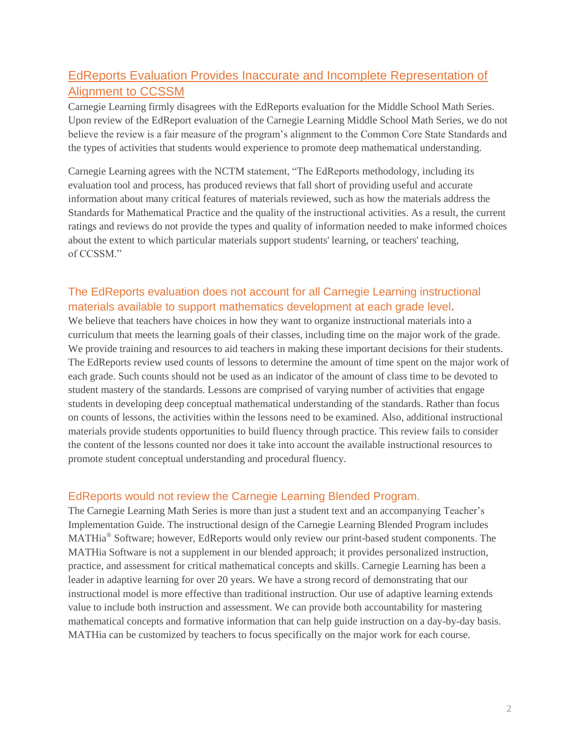## EdReports Evaluation Provides Inaccurate and Incomplete Representation of Alignment to CCSSM

Carnegie Learning firmly disagrees with the EdReports evaluation for the Middle School Math Series. Upon review of the EdReport evaluation of the Carnegie Learning Middle School Math Series, we do not believe the review is a fair measure of the program's alignment to the Common Core State Standards and the types of activities that students would experience to promote deep mathematical understanding.

Carnegie Learning agrees with the NCTM statement, "The EdReports methodology, including its evaluation tool and process, has produced reviews that fall short of providing useful and accurate information about many critical features of materials reviewed, such as how the materials address the Standards for Mathematical Practice and the quality of the instructional activities. As a result, the current ratings and reviews do not provide the types and quality of information needed to make informed choices about the extent to which particular materials support students' learning, or teachers' teaching, of CCSSM."

## The EdReports evaluation does not account for all Carnegie Learning instructional materials available to support mathematics development at each grade level**.**

We believe that teachers have choices in how they want to organize instructional materials into a curriculum that meets the learning goals of their classes, including time on the major work of the grade. We provide training and resources to aid teachers in making these important decisions for their students. The EdReports review used counts of lessons to determine the amount of time spent on the major work of each grade. Such counts should not be used as an indicator of the amount of class time to be devoted to student mastery of the standards. Lessons are comprised of varying number of activities that engage students in developing deep conceptual mathematical understanding of the standards. Rather than focus on counts of lessons, the activities within the lessons need to be examined. Also, additional instructional materials provide students opportunities to build fluency through practice. This review fails to consider the content of the lessons counted nor does it take into account the available instructional resources to promote student conceptual understanding and procedural fluency.

#### EdReports would not review the Carnegie Learning Blended Program.

The Carnegie Learning Math Series is more than just a student text and an accompanying Teacher's Implementation Guide. The instructional design of the Carnegie Learning Blended Program includes MATHia<sup>®</sup> Software; however, EdReports would only review our print-based student components. The MATHia Software is not a supplement in our blended approach; it provides personalized instruction, practice, and assessment for critical mathematical concepts and skills. Carnegie Learning has been a leader in adaptive learning for over 20 years. We have a strong record of demonstrating that our instructional model is more effective than traditional instruction. Our use of adaptive learning extends value to include both instruction and assessment. We can provide both accountability for mastering mathematical concepts and formative information that can help guide instruction on a day-by-day basis. MATHia can be customized by teachers to focus specifically on the major work for each course.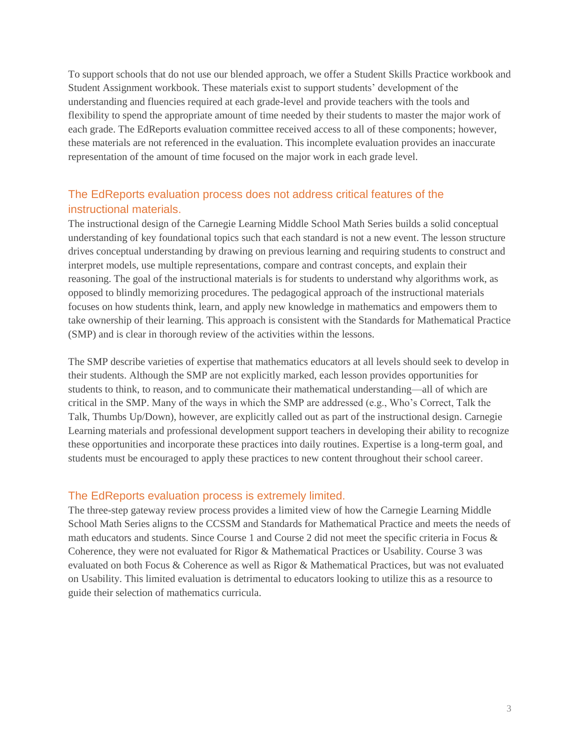To support schools that do not use our blended approach, we offer a Student Skills Practice workbook and Student Assignment workbook. These materials exist to support students' development of the understanding and fluencies required at each grade-level and provide teachers with the tools and flexibility to spend the appropriate amount of time needed by their students to master the major work of each grade. The EdReports evaluation committee received access to all of these components; however, these materials are not referenced in the evaluation. This incomplete evaluation provides an inaccurate representation of the amount of time focused on the major work in each grade level.

## The EdReports evaluation process does not address critical features of the instructional materials.

The instructional design of the Carnegie Learning Middle School Math Series builds a solid conceptual understanding of key foundational topics such that each standard is not a new event. The lesson structure drives conceptual understanding by drawing on previous learning and requiring students to construct and interpret models, use multiple representations, compare and contrast concepts, and explain their reasoning. The goal of the instructional materials is for students to understand why algorithms work, as opposed to blindly memorizing procedures. The pedagogical approach of the instructional materials focuses on how students think, learn, and apply new knowledge in mathematics and empowers them to take ownership of their learning. This approach is consistent with the Standards for Mathematical Practice (SMP) and is clear in thorough review of the activities within the lessons.

The SMP describe varieties of expertise that mathematics educators at all levels should seek to develop in their students. Although the SMP are not explicitly marked, each lesson provides opportunities for students to think, to reason, and to communicate their mathematical understanding—all of which are critical in the SMP. Many of the ways in which the SMP are addressed (e.g., Who's Correct, Talk the Talk, Thumbs Up/Down), however, are explicitly called out as part of the instructional design. Carnegie Learning materials and professional development support teachers in developing their ability to recognize these opportunities and incorporate these practices into daily routines. Expertise is a long-term goal, and students must be encouraged to apply these practices to new content throughout their school career.

#### The EdReports evaluation process is extremely limited.

The three-step gateway review process provides a limited view of how the Carnegie Learning Middle School Math Series aligns to the CCSSM and Standards for Mathematical Practice and meets the needs of math educators and students. Since Course 1 and Course 2 did not meet the specific criteria in Focus & Coherence, they were not evaluated for Rigor & Mathematical Practices or Usability. Course 3 was evaluated on both Focus & Coherence as well as Rigor & Mathematical Practices, but was not evaluated on Usability. This limited evaluation is detrimental to educators looking to utilize this as a resource to guide their selection of mathematics curricula.